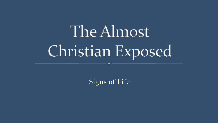# The Almost Christian Exposed

Signs of Life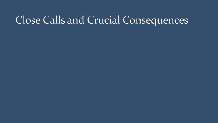#### Close Calls and Crucial Consequences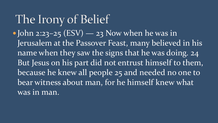The Irony of Belief  $\bullet$  John 2:23-25 (ESV) — 23 Now when he was in Jerusalem at the Passover Feast, many believed in his name when they saw the signs that he was doing. 24 But Jesus on his part did not entrust himself to them, because he knew all people 25 and needed no one to bear witness about man, for he himself knew what was in man.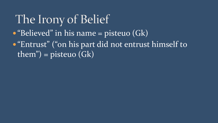#### The Irony of Belief "Believed" in his name = pisteuo (Gk) **• "Entrust" ("on his part did not entrust himself to**  $\overline{\text{them}}$ ") = pisteuo (Gk)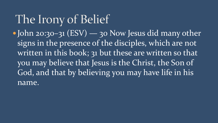The Irony of Belief • John 20:30-31 (ESV) — 30 Now Jesus did many other signs in the presence of the disciples, which are not written in this book; 31 but these are written so that you may believe that Jesus is the Christ, the Son of God, and that by believing you may have life in his name.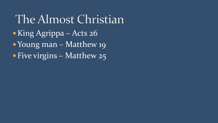The Almost Christian King Agrippa – Acts 26 • Young man – Matthew 19 • Five virgins – Matthew 25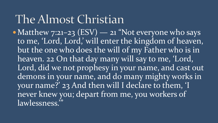#### The Almost Christian

• Matthew  $7:21-23$  (ESV) — 21 "Not everyone who says to me, 'Lord, Lord,' will enter the kingdom of heaven, but the one who does the will of my Father who is in heaven. 22 On that day many will say to me, 'Lord, Lord, did we not prophesy in your name, and cast out demons in your name, and do many mighty works in your name?' 23 And then will I declare to them, 'I never knew you; depart from me, you workers of lawlessness.'"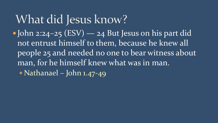What did Jesus know? John 2:24–25 (ESV) — 24 But Jesus on his part did not entrust himself to them, because he knew all people 25 and needed no one to bear witness about man, for he himself knew what was in man. • Nathanael – John 1.47-49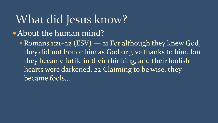## What did Jesus know?

About the human mind?

• Romans 1:21-22 (ESV) — 21 For although they knew God, they did not honor him as God or give thanks to him, but they became futile in their thinking, and their foolish hearts were darkened. 22 Claiming to be wise, they became fools...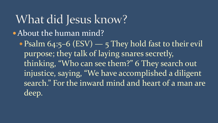What did Jesus know? About the human mind? • Psalm  $64:5-6$  (ESV) — 5 They hold fast to their evil purpose; they talk of laying snares secretly, thinking, "Who can see them?" 6 They search out injustice, saying, "We have accomplished a diligent search." For the inward mind and heart of a man are

deep.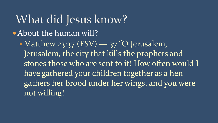What did Jesus know? About the human will? • Matthew 23:37 (ESV) — 37 "O Jerusalem, Jerusalem, the city that kills the prophets and stones those who are sent to it! How often would I have gathered your children together as a hen gathers her brood under her wings, and you were not willing!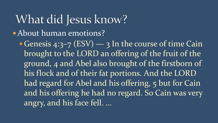What did Jesus know? About human emotions?

• Genesis 4:3-7 (ESV)  $-$  3 In the course of time Cain brought to the LORD an offering of the fruit of the ground, 4 and Abel also brought of the firstborn of his flock and of their fat portions. And the LORD had regard for Abel and his offering, 5 but for Cain and his offering he had no regard. So Cain was very angry, and his face fell. …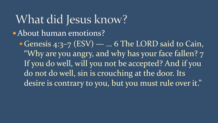What did Jesus know? About human emotions? Genesis 4:3–7 (ESV) — … 6 The LORD said to Cain, "Why are you angry, and why has your face fallen? 7 If you do well, will you not be accepted? And if you do not do well, sin is crouching at the door. Its

desire is contrary to you, but you must rule over it."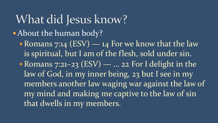What did Jesus know? About the human body? • Romans 7:14 (ESV) — 14 For we know that the law is spiritual, but I am of the flesh, sold under sin. • Romans 7:21-23 (ESV) — ... 22 For I delight in the law of God, in my inner being, 23 but I see in my members another law waging war against the law of my mind and making me captive to the law of sin that dwells in my members.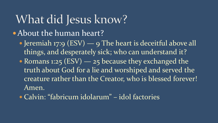### What did Jesus know?

- About the human heart?
	- Jeremiah 17:9 (ESV) 9 The heart is deceitful above all things, and desperately sick; who can understand it?
	- Romans 1:25 (ESV) 25 because they exchanged the truth about God for a lie and worshiped and served the creature rather than the Creator, who is blessed forever! Amen.
	- Calvin: "fabricum idolarum" idol factories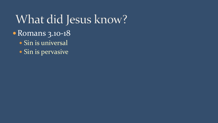What did Jesus know? • Romans 3.10-18 • Sin is universal

• Sin is pervasive